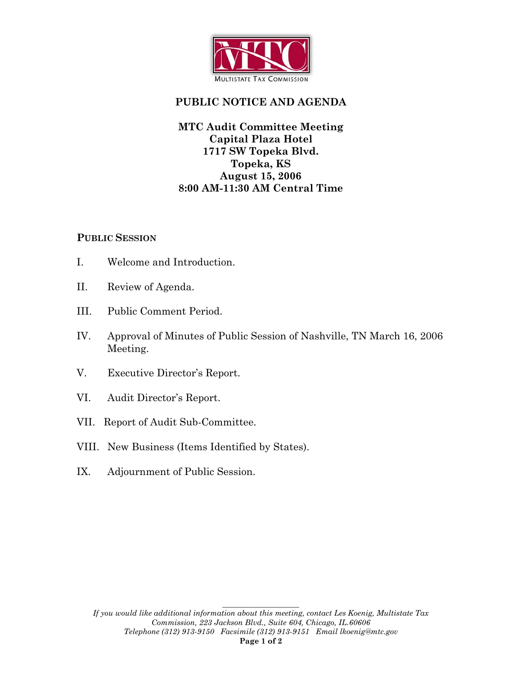

# **PUBLIC NOTICE AND AGENDA**

## **MTC Audit Committee Meeting Capital Plaza Hotel 1717 SW Topeka Blvd. Topeka, KS August 15, 2006 8:00 AM-11:30 AM Central Time**

#### **PUBLIC SESSION**

- I. Welcome and Introduction.
- II. Review of Agenda.
- III. Public Comment Period.
- IV. Approval of Minutes of Public Session of Nashville, TN March 16, 2006 Meeting.
- V. Executive Director's Report.
- VI. Audit Director's Report.
- VII. Report of Audit Sub-Committee.
- VIII. New Business (Items Identified by States).
- IX. Adjournment of Public Session.